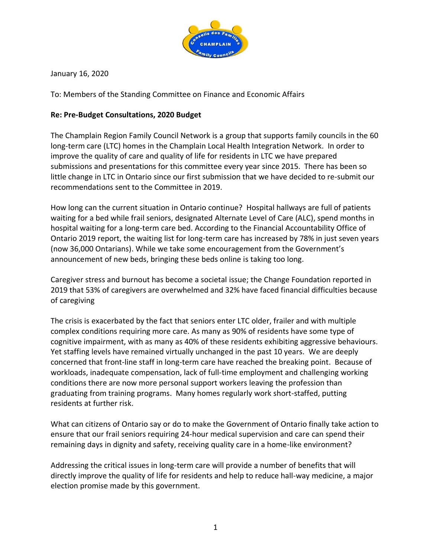

January 16, 2020

To: Members of the Standing Committee on Finance and Economic Affairs

#### **Re: Pre-Budget Consultations, 2020 Budget**

The Champlain Region Family Council Network is a group that supports family councils in the 60 long-term care (LTC) homes in the Champlain Local Health Integration Network. In order to improve the quality of care and quality of life for residents in LTC we have prepared submissions and presentations for this committee every year since 2015. There has been so little change in LTC in Ontario since our first submission that we have decided to re-submit our recommendations sent to the Committee in 2019.

How long can the current situation in Ontario continue? Hospital hallways are full of patients waiting for a bed while frail seniors, designated Alternate Level of Care (ALC), spend months in hospital waiting for a long-term care bed. According to the Financial Accountability Office of Ontario 2019 report, the waiting list for long-term care has increased by 78% in just seven years (now 36,000 Ontarians). While we take some encouragement from the Government's announcement of new beds, bringing these beds online is taking too long.

Caregiver stress and burnout has become a societal issue; the Change Foundation reported in 2019 that 53% of caregivers are overwhelmed and 32% have faced financial difficulties because of caregiving

The crisis is exacerbated by the fact that seniors enter LTC older, frailer and with multiple complex conditions requiring more care. As many as 90% of residents have some type of cognitive impairment, with as many as 40% of these residents exhibiting aggressive behaviours. Yet staffing levels have remained virtually unchanged in the past 10 years. We are deeply concerned that front-line staff in long-term care have reached the breaking point. Because of workloads, inadequate compensation, lack of full-time employment and challenging working conditions there are now more personal support workers leaving the profession than graduating from training programs. Many homes regularly work short-staffed, putting residents at further risk.

What can citizens of Ontario say or do to make the Government of Ontario finally take action to ensure that our frail seniors requiring 24-hour medical supervision and care can spend their remaining days in dignity and safety, receiving quality care in a home-like environment?

Addressing the critical issues in long-term care will provide a number of benefits that will directly improve the quality of life for residents and help to reduce hall-way medicine, a major election promise made by this government.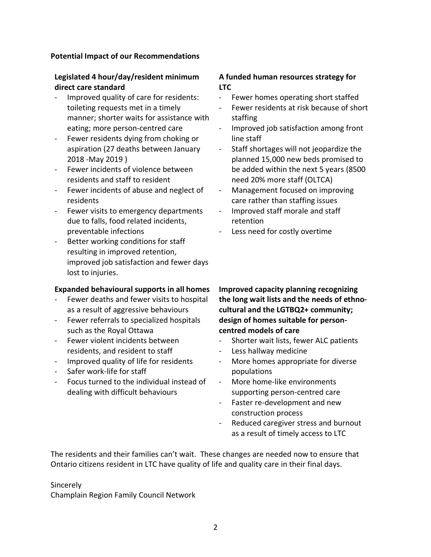#### **Potential Impact of our Recommendations**

## **Legislated 4 hour/day/resident minimum direct care standard**

- Improved quality of care for residents: toileting requests met in a timely manner; shorter waits for assistance with eating; more person-centred care
- Fewer residents dying from choking or aspiration (27 deaths between January 2018 -May 2019 )
- Fewer incidents of violence between residents and staff to resident
- Fewer incidents of abuse and neglect of residents
- Fewer visits to emergency departments due to falls, food related incidents, preventable infections
- Better working conditions for staff resulting in improved retention, improved job satisfaction and fewer days lost to injuries.

## **Expanded behavioural supports in all homes**

- Fewer deaths and fewer visits to hospital as a result of aggressive behaviours
- Fewer referrals to specialized hospitals such as the Royal Ottawa
- Fewer violent incidents between residents, and resident to staff
- Improved quality of life for residents
- Safer work-life for staff
- Focus turned to the individual instead of dealing with difficult behaviours

#### **A funded human resources strategy for LTC**

- Fewer homes operating short staffed
- Fewer residents at risk because of short staffing
- Improved job satisfaction among front line staff
- Staff shortages will not jeopardize the planned 15,000 new beds promised to be added within the next 5 years (8500 need 20% more staff (OLTCA)
- Management focused on improving care rather than staffing issues
- Improved staff morale and staff retention
- Less need for costly overtime

**Improved capacity planning recognizing the long wait lists and the needs of ethnocultural and the LGTBQ2+ community; design of homes suitable for personcentred models of care**

- Shorter wait lists, fewer ALC patients
- Less hallway medicine
- More homes appropriate for diverse populations
- More home-like environments supporting person-centred care
- Faster re-development and new construction process
- Reduced caregiver stress and burnout as a result of timely access to LTC

The residents and their families can't wait. These changes are needed now to ensure that Ontario citizens resident in LTC have quality of life and quality care in their final days.

## **Sincerely**

Champlain Region Family Council Network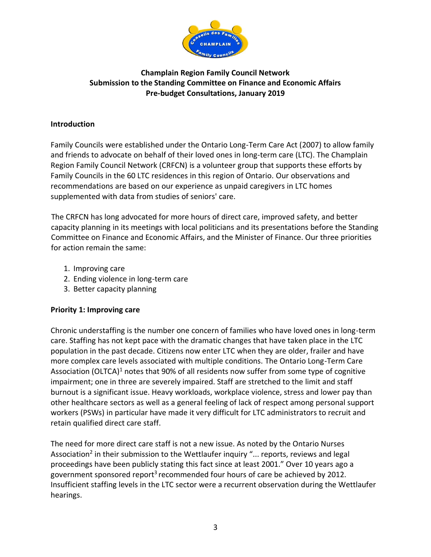

# **Champlain Region Family Council Network Submission to the Standing Committee on Finance and Economic Affairs Pre-budget Consultations, January 2019**

### **Introduction**

Family Councils were established under the Ontario Long-Term Care Act (2007) to allow family and friends to advocate on behalf of their loved ones in long-term care (LTC). The Champlain Region Family Council Network (CRFCN) is a volunteer group that supports these efforts by Family Councils in the 60 LTC residences in this region of Ontario. Our observations and recommendations are based on our experience as unpaid caregivers in LTC homes supplemented with data from studies of seniors' care.

The CRFCN has long advocated for more hours of direct care, improved safety, and better capacity planning in its meetings with local politicians and its presentations before the Standing Committee on Finance and Economic Affairs, and the Minister of Finance. Our three priorities for action remain the same:

- 1. Improving care
- 2. Ending violence in long-term care
- 3. Better capacity planning

## **Priority 1: Improving care**

Chronic understaffing is the number one concern of families who have loved ones in long-term care. Staffing has not kept pace with the dramatic changes that have taken place in the LTC population in the past decade. Citizens now enter LTC when they are older, frailer and have more complex care levels associated with multiple conditions. The Ontario Long-Term Care Association (OLTCA)<sup>1</sup> notes that 90% of all residents now suffer from some type of cognitive impairment; one in three are severely impaired. Staff are stretched to the limit and staff burnout is a significant issue. Heavy workloads, workplace violence, stress and lower pay than other healthcare sectors as well as a general feeling of lack of respect among personal support workers (PSWs) in particular have made it very difficult for LTC administrators to recruit and retain qualified direct care staff.

The need for more direct care staff is not a new issue. As noted by the Ontario Nurses Association<sup>2</sup> in their submission to the Wettlaufer inquiry "... reports, reviews and legal proceedings have been publicly stating this fact since at least 2001." Over 10 years ago a government sponsored report<sup>3</sup> recommended four hours of care be achieved by 2012. Insufficient staffing levels in the LTC sector were a recurrent observation during the Wettlaufer hearings.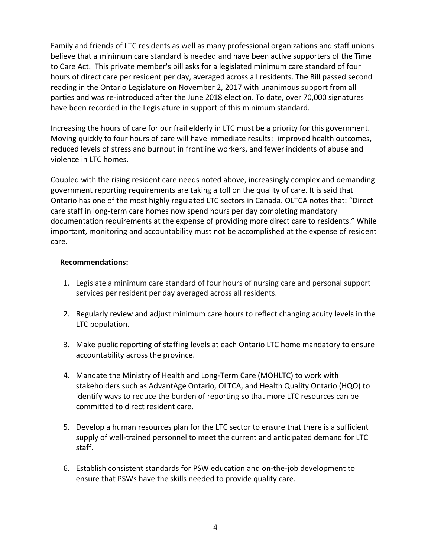Family and friends of LTC residents as well as many professional organizations and staff unions believe that a minimum care standard is needed and have been active supporters of the Time to Care Act. This private member's bill asks for a legislated minimum care standard of four hours of direct care per resident per day, averaged across all residents. The Bill passed second reading in the Ontario Legislature on November 2, 2017 with unanimous support from all parties and was re-introduced after the June 2018 election. To date, over 70,000 signatures have been recorded in the Legislature in support of this minimum standard.

Increasing the hours of care for our frail elderly in LTC must be a priority for this government. Moving quickly to four hours of care will have immediate results: improved health outcomes, reduced levels of stress and burnout in frontline workers, and fewer incidents of abuse and violence in LTC homes.

Coupled with the rising resident care needs noted above, increasingly complex and demanding government reporting requirements are taking a toll on the quality of care. It is said that Ontario has one of the most highly regulated LTC sectors in Canada. OLTCA notes that: "Direct care staff in long-term care homes now spend hours per day completing mandatory documentation requirements at the expense of providing more direct care to residents." While important, monitoring and accountability must not be accomplished at the expense of resident care.

#### **Recommendations:**

- 1. Legislate a minimum care standard of four hours of nursing care and personal support services per resident per day averaged across all residents.
- 2. Regularly review and adjust minimum care hours to reflect changing acuity levels in the LTC population.
- 3. Make public reporting of staffing levels at each Ontario LTC home mandatory to ensure accountability across the province.
- 4. Mandate the Ministry of Health and Long-Term Care (MOHLTC) to work with stakeholders such as AdvantAge Ontario, OLTCA, and Health Quality Ontario (HQO) to identify ways to reduce the burden of reporting so that more LTC resources can be committed to direct resident care.
- 5. Develop a human resources plan for the LTC sector to ensure that there is a sufficient supply of well-trained personnel to meet the current and anticipated demand for LTC staff.
- 6. Establish consistent standards for PSW education and on-the-job development to ensure that PSWs have the skills needed to provide quality care.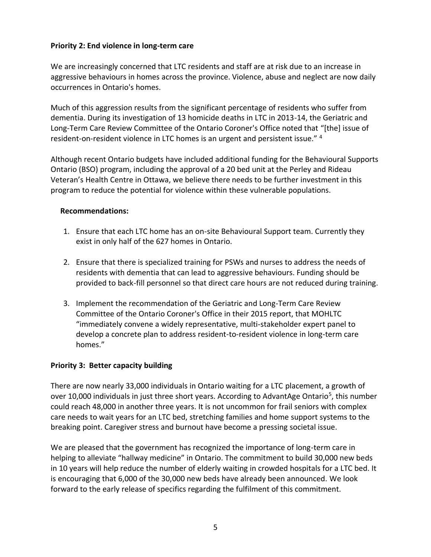### **Priority 2: End violence in long-term care**

We are increasingly concerned that LTC residents and staff are at risk due to an increase in aggressive behaviours in homes across the province. Violence, abuse and neglect are now daily occurrences in Ontario's homes.

Much of this aggression results from the significant percentage of residents who suffer from dementia. During its investigation of 13 homicide deaths in LTC in 2013-14, the Geriatric and Long-Term Care Review Committee of the Ontario Coroner's Office noted that "[the] issue of resident-on-resident violence in LTC homes is an urgent and persistent issue." <sup>4</sup>

Although recent Ontario budgets have included additional funding for the Behavioural Supports Ontario (BSO) program, including the approval of a 20 bed unit at the Perley and Rideau Veteran's Health Centre in Ottawa, we believe there needs to be further investment in this program to reduce the potential for violence within these vulnerable populations.

#### **Recommendations:**

- 1. Ensure that each LTC home has an on-site Behavioural Support team. Currently they exist in only half of the 627 homes in Ontario.
- 2. Ensure that there is specialized training for PSWs and nurses to address the needs of residents with dementia that can lead to aggressive behaviours. Funding should be provided to back-fill personnel so that direct care hours are not reduced during training.
- 3. Implement the recommendation of the Geriatric and Long-Term Care Review Committee of the Ontario Coroner's Office in their 2015 report, that MOHLTC "immediately convene a widely representative, multi-stakeholder expert panel to develop a concrete plan to address resident-to-resident violence in long-term care homes."

## **Priority 3: Better capacity building**

There are now nearly 33,000 individuals in Ontario waiting for a LTC placement, a growth of over 10,000 individuals in just three short years. According to AdvantAge Ontario<sup>5</sup>, this number could reach 48,000 in another three years. It is not uncommon for frail seniors with complex care needs to wait years for an LTC bed, stretching families and home support systems to the breaking point. Caregiver stress and burnout have become a pressing societal issue.

We are pleased that the government has recognized the importance of long-term care in helping to alleviate "hallway medicine" in Ontario. The commitment to build 30,000 new beds in 10 years will help reduce the number of elderly waiting in crowded hospitals for a LTC bed. It is encouraging that 6,000 of the 30,000 new beds have already been announced. We look forward to the early release of specifics regarding the fulfilment of this commitment.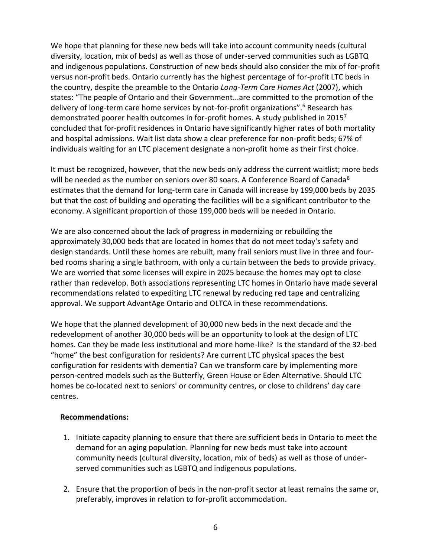We hope that planning for these new beds will take into account community needs (cultural diversity, location, mix of beds) as well as those of under-served communities such as LGBTQ and indigenous populations. Construction of new beds should also consider the mix of for-profit versus non-profit beds. Ontario currently has the highest percentage of for-profit LTC beds in the country, despite the preamble to the Ontario *Long-Term Care Homes Act* (2007), which states: "The people of Ontario and their Government...are committed to the promotion of the delivery of long-term care home services by not-for-profit organizations".<sup>6</sup> Research has demonstrated poorer health outcomes in for-profit homes. A study published in 2015<sup>7</sup> concluded that for-profit residences in Ontario have significantly higher rates of both mortality and hospital admissions. Wait list data show a clear preference for non-profit beds; 67% of individuals waiting for an LTC placement designate a non-profit home as their first choice.

It must be recognized, however, that the new beds only address the current waitlist; more beds will be needed as the number on seniors over 80 soars. A Conference Board of Canada<sup>8</sup> estimates that the demand for long-term care in Canada will increase by 199,000 beds by 2035 but that the cost of building and operating the facilities will be a significant contributor to the economy. A significant proportion of those 199,000 beds will be needed in Ontario.

We are also concerned about the lack of progress in modernizing or rebuilding the approximately 30,000 beds that are located in homes that do not meet today's safety and design standards. Until these homes are rebuilt, many frail seniors must live in three and fourbed rooms sharing a single bathroom, with only a curtain between the beds to provide privacy. We are worried that some licenses will expire in 2025 because the homes may opt to close rather than redevelop. Both associations representing LTC homes in Ontario have made several recommendations related to expediting LTC renewal by reducing red tape and centralizing approval. We support AdvantAge Ontario and OLTCA in these recommendations.

We hope that the planned development of 30,000 new beds in the next decade and the redevelopment of another 30,000 beds will be an opportunity to look at the design of LTC homes. Can they be made less institutional and more home-like? Is the standard of the 32-bed "home" the best configuration for residents? Are current LTC physical spaces the best configuration for residents with dementia? Can we transform care by implementing more person-centred models such as the Butterfly, Green House or Eden Alternative. Should LTC homes be co-located next to seniors' or community centres, or close to childrens' day care centres.

## **Recommendations:**

- 1. Initiate capacity planning to ensure that there are sufficient beds in Ontario to meet the demand for an aging population. Planning for new beds must take into account community needs (cultural diversity, location, mix of beds) as well as those of underserved communities such as LGBTQ and indigenous populations.
- 2. Ensure that the proportion of beds in the non-profit sector at least remains the same or, preferably, improves in relation to for-profit accommodation.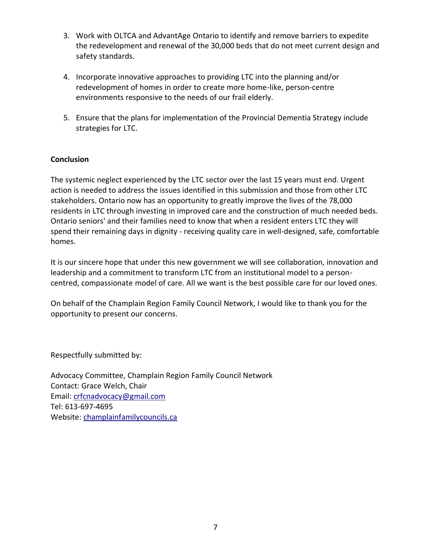- 3. Work with OLTCA and AdvantAge Ontario to identify and remove barriers to expedite the redevelopment and renewal of the 30,000 beds that do not meet current design and safety standards.
- 4. Incorporate innovative approaches to providing LTC into the planning and/or redevelopment of homes in order to create more home-like, person-centre environments responsive to the needs of our frail elderly.
- 5. Ensure that the plans for implementation of the Provincial Dementia Strategy include strategies for LTC.

# **Conclusion**

The systemic neglect experienced by the LTC sector over the last 15 years must end. Urgent action is needed to address the issues identified in this submission and those from other LTC stakeholders. Ontario now has an opportunity to greatly improve the lives of the 78,000 residents in LTC through investing in improved care and the construction of much needed beds. Ontario seniors' and their families need to know that when a resident enters LTC they will spend their remaining days in dignity - receiving quality care in well-designed, safe, comfortable homes.

It is our sincere hope that under this new government we will see collaboration, innovation and leadership and a commitment to transform LTC from an institutional model to a personcentred, compassionate model of care. All we want is the best possible care for our loved ones.

On behalf of the Champlain Region Family Council Network, I would like to thank you for the opportunity to present our concerns.

Respectfully submitted by:

Advocacy Committee, Champlain Region Family Council Network Contact: Grace Welch, Chair Email: [crfcnadvocacy@gmail.com](mailto:crfcnadvocacy@gmail.com) Tel: 613-697-4695 Website: champlainfamilycouncils.ca